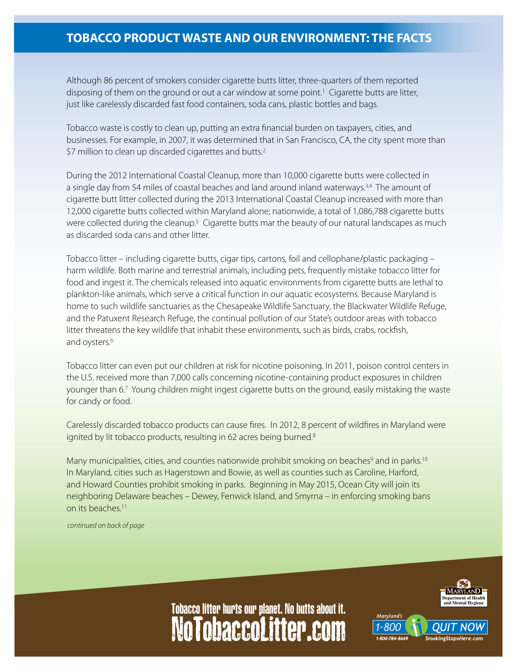## **TOBACCO PRODUCT WASTE AND OUR ENVIRONMENT: THE FACTS**

Although 86 percent of smokers consider cigarette butts litter, three-quarters of them reported disposing of them on the ground or out a car window at some point.<sup>1</sup> Cigarette butts are litter, just like carelessly discarded fast food containers, soda cans, plastic bottles and bags.

Tobacco waste is costly to clean up, putting an extra financial burden on taxpayers, cities, and businesses. For example, in 2007, it was determined that in San Francisco, CA, the city spent more than \$7 million to clean up discarded cigarettes and butts.<sup>2</sup>

During the 2012 International Coastal Cleanup, more than 10,000 cigarette butts were collected in a single day from 54 miles of coastal beaches and land around inland waterways.<sup>3,4</sup> The amount of cigarette butt litter collected during the 2013 International Coastal Cleanup increased with more than 12,000 cigarette butts collected within Maryland alone; nationwide, a total of 1,086,788 cigarette butts were collected during the cleanup.<sup>5</sup> Cigarette butts mar the beauty of our natural landscapes as much as discarded soda cans and other litter.

Tobacco litter – including cigarette butts, cigar tips, cartons, foil and cellophane/plastic packaging – harm wildlife. Both marine and terrestrial animals, including pets, frequently mistake tobacco litter for food and ingest it. The chemicals released into aquatic environments from cigarette butts are lethal to plankton-like animals, which serve a critical function in our aquatic ecosystems. Because Maryland is home to such wildlife sanctuaries as the Chesapeake Wildlife Sanctuary, the Blackwater Wildlife Refuge, and the Patuxent Research Refuge, the continual pollution of our State's outdoor areas with tobacco litter threatens the key wildlife that inhabit these environments, such as birds, crabs, rockfish, and oysters.<sup>6</sup>

Tobacco litter can even put our children at risk for nicotine poisoning. In 2011, poison control centers in the U.S. received more than 7,000 calls concerning nicotine-containing product exposures in children younger than 6.7 Young children might ingest cigarette butts on the ground, easily mistaking the waste for candy or food.

Carelessly discarded tobacco products can cause fires. In 2012, 8 percent of wildfires in Maryland were ignited by lit tobacco products, resulting in 62 acres being burned.<sup>8</sup>

Many municipalities, cities, and counties nationwide prohibit smoking on beaches<sup>9</sup> and in parks.<sup>10</sup> In Maryland, cities such as Hagerstown and Bowie, as well as counties such as Caroline, Harford, and Howard Counties prohibit smoking in parks. Beginning in May 2015, Ocean City will join its neighboring Delaware beaches – Dewey, Fenwick Island, and Smyrna – in enforcing smoking bans on its beaches.11

*continued on back of page*



Marvland's

## NoTobaccoLitter.com Tobacco litter hurts our planet. No butts about it.